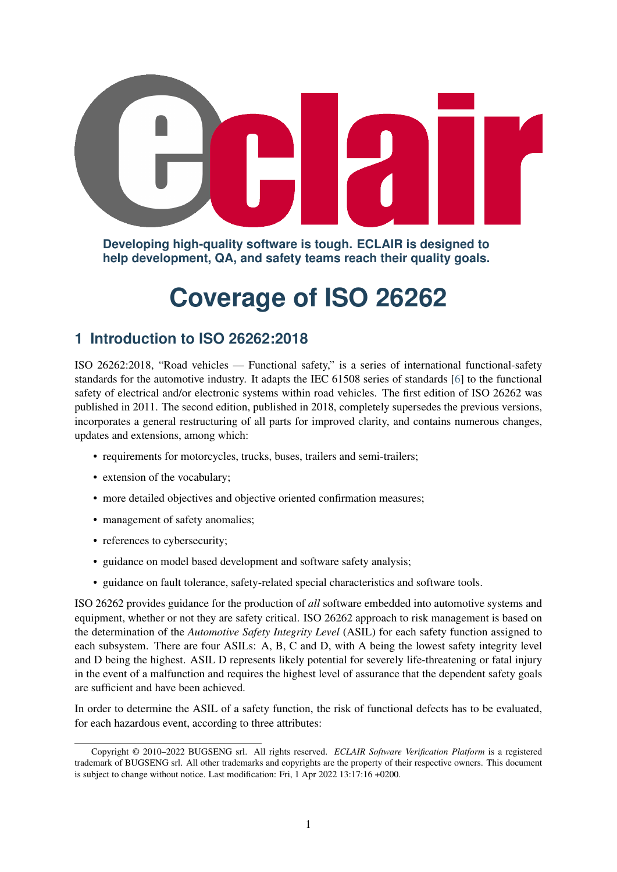**Developing high-quality software is tough. ECLAIR is designed to help development, QA, and safety teams reach their quality goals.**

# **Coverage of ISO 26262**

# **1 Introduction to ISO 26262:2018**

ISO 26262:2018, "Road vehicles — Functional safety," is a series of international functional-safety standards for the automotive industry. It adapts the IEC 61508 series of standards [\[6\]](#page-11-0) to the functional safety of electrical and/or electronic systems within road vehicles. The first edition of ISO 26262 was published in 2011. The second edition, published in 2018, completely supersedes the previous versions, incorporates a general restructuring of all parts for improved clarity, and contains numerous changes, updates and extensions, among which:

- requirements for motorcycles, trucks, buses, trailers and semi-trailers;
- extension of the vocabulary;
- more detailed objectives and objective oriented confirmation measures;
- management of safety anomalies;
- references to cybersecurity;
- guidance on model based development and software safety analysis;
- guidance on fault tolerance, safety-related special characteristics and software tools.

ISO 26262 provides guidance for the production of *all* software embedded into automotive systems and equipment, whether or not they are safety critical. ISO 26262 approach to risk management is based on the determination of the *Automotive Safety Integrity Level* (ASIL) for each safety function assigned to each subsystem. There are four ASILs: A, B, C and D, with A being the lowest safety integrity level and D being the highest. ASIL D represents likely potential for severely life-threatening or fatal injury in the event of a malfunction and requires the highest level of assurance that the dependent safety goals are sufficient and have been achieved.

In order to determine the ASIL of a safety function, the risk of functional defects has to be evaluated, for each hazardous event, according to three attributes:

Copyright © 2010–2022 BUGSENG srl. All rights reserved. *ECLAIR Software Verification Platform* is a registered trademark of BUGSENG srl. All other trademarks and copyrights are the property of their respective owners. This document is subject to change without notice. Last modification: Fri, 1 Apr 2022 13:17:16 +0200.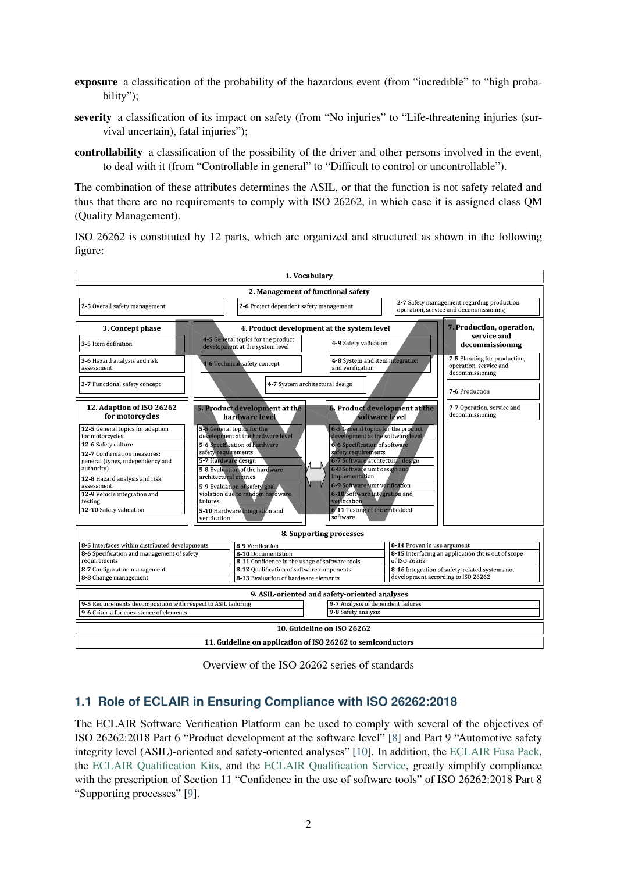- exposure a classification of the probability of the hazardous event (from "incredible" to "high probability");
- severity a classification of its impact on safety (from "No injuries" to "Life-threatening injuries (survival uncertain), fatal injuries");
- controllability a classification of the possibility of the driver and other persons involved in the event, to deal with it (from "Controllable in general" to "Difficult to control or uncontrollable").

The combination of these attributes determines the ASIL, or that the function is not safety related and thus that there are no requirements to comply with ISO 26262, in which case it is assigned class QM (Quality Management).

ISO 26262 is constituted by 12 parts, which are organized and structured as shown in the following figure:



Overview of the ISO 26262 series of standards

#### **1.1 Role of ECLAIR in Ensuring Compliance with ISO 26262:2018**

The ECLAIR Software Verification Platform can be used to comply with several of the objectives of ISO 26262:2018 Part 6 "Product development at the software level" [\[8\]](#page-11-1) and Part 9 "Automotive safety integrity level (ASIL)-oriented and safety-oriented analyses" [\[10\]](#page-11-2). In addition, the [ECLAIR Fusa Pack,](https://bugseng.com/sites/default/files/resources/ECLAIR_FuSa_Pack.pdf) the [ECLAIR Qualification Kits,](https://bugseng.com/sites/default/files/resources/ECLAIR_Qualification_Kits.pdf) and the [ECLAIR Qualification Service,](https://bugseng.com/sites/default/files/resources/ECLAIR_Qualification_Service.pdf) greatly simplify compliance with the prescription of Section 11 "Confidence in the use of software tools" of ISO 26262:2018 Part 8 "Supporting processes" [\[9\]](#page-11-3).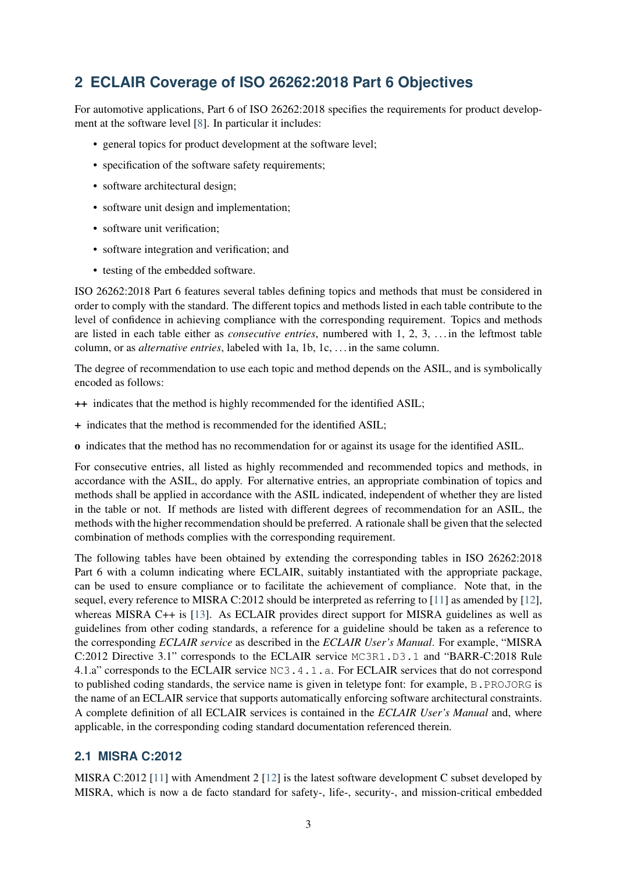# **2 ECLAIR Coverage of ISO 26262:2018 Part 6 Objectives**

For automotive applications, Part 6 of ISO 26262:2018 specifies the requirements for product development at the software level [\[8\]](#page-11-1). In particular it includes:

- general topics for product development at the software level:
- specification of the software safety requirements;
- software architectural design;
- software unit design and implementation;
- software unit verification;
- software integration and verification; and
- testing of the embedded software.

ISO 26262:2018 Part 6 features several tables defining topics and methods that must be considered in order to comply with the standard. The different topics and methods listed in each table contribute to the level of confidence in achieving compliance with the corresponding requirement. Topics and methods are listed in each table either as *consecutive entries*, numbered with 1, 2, 3, . . . in the leftmost table column, or as *alternative entries*, labeled with 1a, 1b, 1c, . . . in the same column.

The degree of recommendation to use each topic and method depends on the ASIL, and is symbolically encoded as follows:

- ++ indicates that the method is highly recommended for the identified ASIL;
- + indicates that the method is recommended for the identified ASIL;
- o indicates that the method has no recommendation for or against its usage for the identified ASIL.

For consecutive entries, all listed as highly recommended and recommended topics and methods, in accordance with the ASIL, do apply. For alternative entries, an appropriate combination of topics and methods shall be applied in accordance with the ASIL indicated, independent of whether they are listed in the table or not. If methods are listed with different degrees of recommendation for an ASIL, the methods with the higher recommendation should be preferred. A rationale shall be given that the selected combination of methods complies with the corresponding requirement.

The following tables have been obtained by extending the corresponding tables in ISO 26262:2018 Part 6 with a column indicating where ECLAIR, suitably instantiated with the appropriate package, can be used to ensure compliance or to facilitate the achievement of compliance. Note that, in the sequel, every reference to MISRA C:2012 should be interpreted as referring to [\[11\]](#page-11-4) as amended by [\[12\]](#page-11-5), whereas MISRA C++ is [\[13\]](#page-11-6). As ECLAIR provides direct support for MISRA guidelines as well as guidelines from other coding standards, a reference for a guideline should be taken as a reference to the corresponding *ECLAIR service* as described in the *ECLAIR User's Manual*. For example, "MISRA C:2012 Directive 3.1" corresponds to the ECLAIR service MC3R1.D3.1 and "BARR-C:2018 Rule 4.1.a" corresponds to the ECLAIR service NC3.4.1.a. For ECLAIR services that do not correspond to published coding standards, the service name is given in teletype font: for example, B.PROJORG is the name of an ECLAIR service that supports automatically enforcing software architectural constraints. A complete definition of all ECLAIR services is contained in the *ECLAIR User's Manual* and, where applicable, in the corresponding coding standard documentation referenced therein.

#### **2.1 MISRA C:2012**

MISRA C:2012 [\[11\]](#page-11-4) with Amendment 2 [\[12\]](#page-11-5) is the latest software development C subset developed by MISRA, which is now a de facto standard for safety-, life-, security-, and mission-critical embedded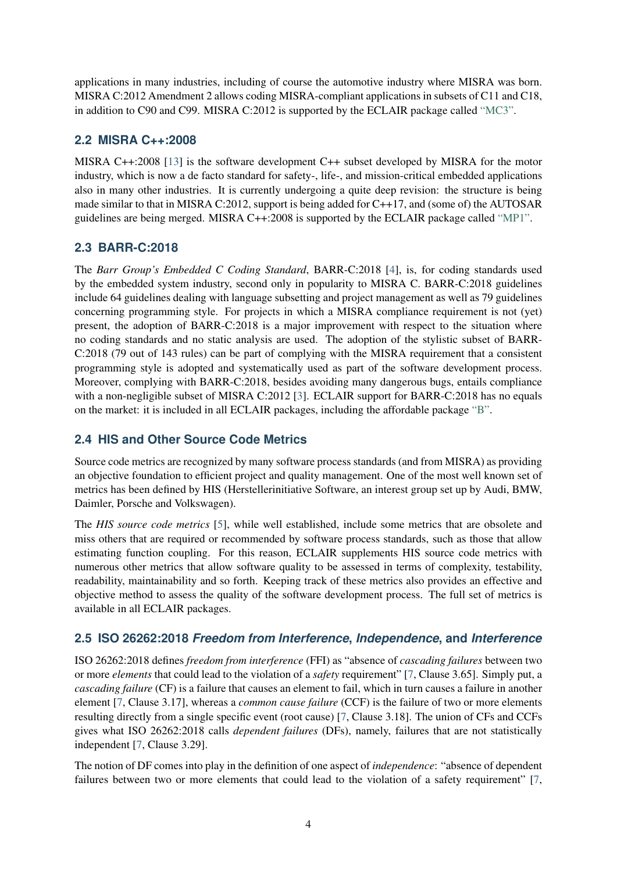applications in many industries, including of course the automotive industry where MISRA was born. MISRA C:2012 Amendment 2 allows coding MISRA-compliant applications in subsets of C11 and C18, in addition to C90 and C99. MISRA C:2012 is supported by the ECLAIR package called ["MC3".](https://www.bugseng.com/sites/default/files/resources/ECLAIR_MC3.pdf)

#### **2.2 MISRA C++:2008**

MISRA C++:2008 [\[13\]](#page-11-6) is the software development C++ subset developed by MISRA for the motor industry, which is now a de facto standard for safety-, life-, and mission-critical embedded applications also in many other industries. It is currently undergoing a quite deep revision: the structure is being made similar to that in MISRA C:2012, support is being added for C++17, and (some of) the AUTOSAR guidelines are being merged. MISRA C++:2008 is supported by the ECLAIR package called ["MP1".](https://www.bugseng.com/sites/default/files/resources/ECLAIR_MP1.pdf)

#### **2.3 BARR-C:2018**

The *Barr Group's Embedded C Coding Standard*, BARR-C:2018 [\[4\]](#page-11-7), is, for coding standards used by the embedded system industry, second only in popularity to MISRA C. BARR-C:2018 guidelines include 64 guidelines dealing with language subsetting and project management as well as 79 guidelines concerning programming style. For projects in which a MISRA compliance requirement is not (yet) present, the adoption of BARR-C:2018 is a major improvement with respect to the situation where no coding standards and no static analysis are used. The adoption of the stylistic subset of BARR-C:2018 (79 out of 143 rules) can be part of complying with the MISRA requirement that a consistent programming style is adopted and systematically used as part of the software development process. Moreover, complying with BARR-C:2018, besides avoiding many dangerous bugs, entails compliance with a non-negligible subset of MISRA C:2012 [\[3\]](#page-11-8). ECLAIR support for BARR-C:2018 has no equals on the market: it is included in all ECLAIR packages, including the affordable package ["B".](https://www.bugseng.com/sites/default/files/resources/ECLAIR_B.pdf)

### **2.4 HIS and Other Source Code Metrics**

Source code metrics are recognized by many software process standards (and from MISRA) as providing an objective foundation to efficient project and quality management. One of the most well known set of metrics has been defined by HIS (Herstellerinitiative Software, an interest group set up by Audi, BMW, Daimler, Porsche and Volkswagen).

The *HIS source code metrics* [\[5\]](#page-11-9), while well established, include some metrics that are obsolete and miss others that are required or recommended by software process standards, such as those that allow estimating function coupling. For this reason, ECLAIR supplements HIS source code metrics with numerous other metrics that allow software quality to be assessed in terms of complexity, testability, readability, maintainability and so forth. Keeping track of these metrics also provides an effective and objective method to assess the quality of the software development process. The full set of metrics is available in all ECLAIR packages.

#### **2.5 ISO 26262:2018** *Freedom from Interference***,** *Independence***, and** *Interference*

ISO 26262:2018 defines *freedom from interference* (FFI) as "absence of *cascading failures* between two or more *elements* that could lead to the violation of a *safety* requirement" [\[7,](#page-11-10) Clause 3.65]. Simply put, a *cascading failure* (CF) is a failure that causes an element to fail, which in turn causes a failure in another element [\[7,](#page-11-10) Clause 3.17], whereas a *common cause failure* (CCF) is the failure of two or more elements resulting directly from a single specific event (root cause) [\[7,](#page-11-10) Clause 3.18]. The union of CFs and CCFs gives what ISO 26262:2018 calls *dependent failures* (DFs), namely, failures that are not statistically independent [\[7,](#page-11-10) Clause 3.29].

The notion of DF comes into play in the definition of one aspect of *independence*: "absence of dependent failures between two or more elements that could lead to the violation of a safety requirement" [\[7,](#page-11-10)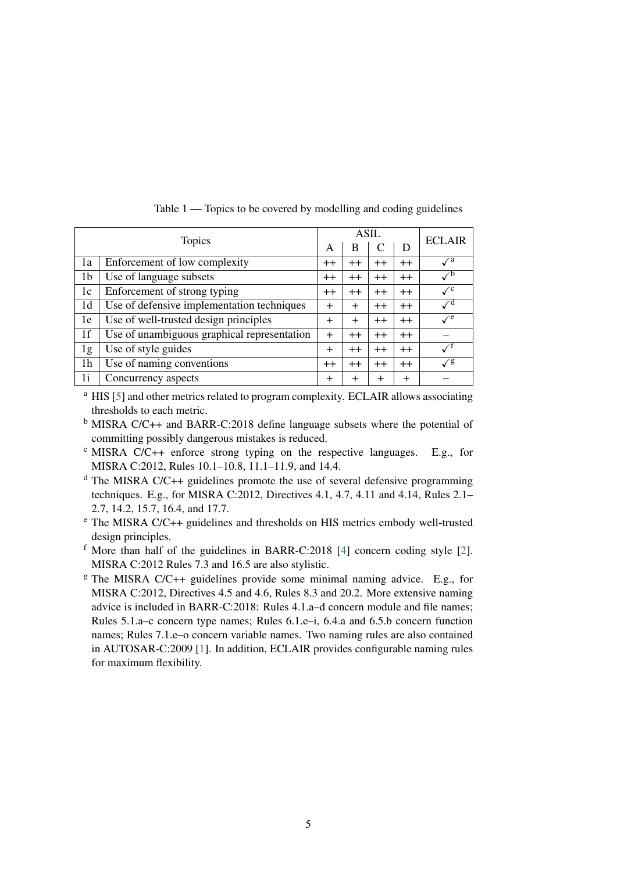|    |                                             |                | ASIL             | <b>ECLAIR</b> |           |                           |
|----|---------------------------------------------|----------------|------------------|---------------|-----------|---------------------------|
|    | <b>Topics</b>                               |                | В                |               | D         |                           |
| 1a | Enforcement of low complexity               | $^{++}$        | $^{\mathrm{++}}$ | $^{++}$       | $^{++}$   | $\sqrt{a}$                |
| 1b | Use of language subsets                     | $^{++}$        | $^{\mathrm{++}}$ | $^{++}$       | $^{++}$   | $\checkmark$ <sup>b</sup> |
| 1c | Enforcement of strong typing                | $^{++}$        | $^{\mathrm{++}}$ | $^{++}$       | $^{++}$   | $\sqrt{c}$                |
| 1d | Use of defensive implementation techniques  | $\pm$          | $^{+}$           | $++$          | $++$      | $\sqrt{d}$                |
| 1e | Use of well-trusted design principles       | $\overline{+}$ | $^{+}$           | $++$          | $++$      | $\sqrt{e}$                |
| 1f | Use of unambiguous graphical representation | $^{+}$         | $^{\mathrm{++}}$ | $^{++}$       | $^{++}$   |                           |
| 1g | Use of style guides                         | $^{+}$         | $^{\mathrm{++}}$ | $^{++}$       | $^{++}$   |                           |
| 1h | Use of naming conventions                   | $^{++}$        | $^{\mathrm{++}}$ | $++$          | $++$      | $\sqrt{g}$                |
| 1i | Concurrency aspects                         | $\overline{+}$ | $^{+}$           | $\pm$         | $\ddot{}$ |                           |

Table 1 — Topics to be covered by modelling and coding guidelines

<sup>a</sup> HIS [\[5\]](#page-11-9) and other metrics related to program complexity. ECLAIR allows associating thresholds to each metric.

<sup>b</sup> MISRA C/C++ and BARR-C:2018 define language subsets where the potential of committing possibly dangerous mistakes is reduced.

 $\textdegree$  MISRA C/C++ enforce strong typing on the respective languages. E.g., for MISRA C:2012, Rules 10.1–10.8, 11.1–11.9, and 14.4.

<sup>d</sup> The MISRA C/C++ guidelines promote the use of several defensive programming techniques. E.g., for MISRA C:2012, Directives 4.1, 4.7, 4.11 and 4.14, Rules 2.1– 2.7, 14.2, 15.7, 16.4, and 17.7.

<sup>e</sup> The MISRA C/C++ guidelines and thresholds on HIS metrics embody well-trusted design principles.

<sup>f</sup> More than half of the guidelines in BARR-C:2018 [\[4\]](#page-11-7) concern coding style [\[2\]](#page-11-11). MISRA C:2012 Rules 7.3 and 16.5 are also stylistic.

 $\textdegree$  The MISRA C/C++ guidelines provide some minimal naming advice. E.g., for MISRA C:2012, Directives 4.5 and 4.6, Rules 8.3 and 20.2. More extensive naming advice is included in BARR-C:2018: Rules 4.1.a–d concern module and file names; Rules 5.1.a–c concern type names; Rules 6.1.e–i, 6.4.a and 6.5.b concern function names; Rules 7.1.e–o concern variable names. Two naming rules are also contained in AUTOSAR-C:2009 [\[1\]](#page-11-12). In addition, ECLAIR provides configurable naming rules for maximum flexibility.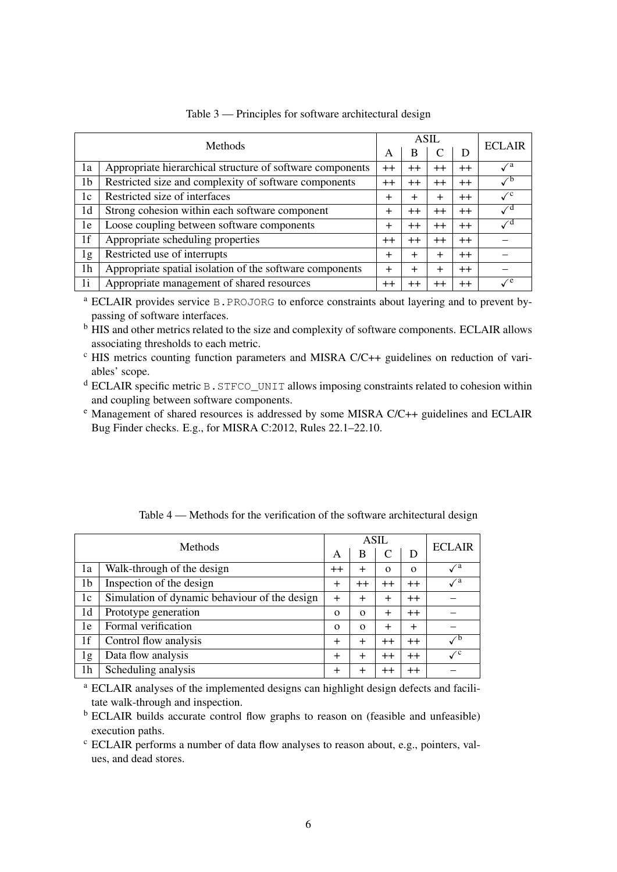| <b>Methods</b> |                                                           |          | <b>ASIL</b>     | <b>ECLAIR</b>    |         |                              |
|----------------|-----------------------------------------------------------|----------|-----------------|------------------|---------|------------------------------|
|                |                                                           |          | B               |                  | D       |                              |
| la             | Appropriate hierarchical structure of software components | $^{++}$  | $^{\mathrm{+}}$ | $^{++}$          | $^{++}$ | $\mathcal{N}^{\rm a}$        |
| 1b             | Restricted size and complexity of software components     | $++$     | $^{++}$         | $^{++}$          | $^{++}$ |                              |
| 1c             | Restricted size of interfaces                             | $\pm$    | $\pm$           | $\pm$            | $^{++}$ | $\mathcal{N}^{\mathcal{C}}$  |
| 1 <sub>d</sub> | Strong cohesion within each software component            | $\pm$    | $^{++}$         | $++$             | $^{++}$ | $\mathcal{N}^{\text{d}}$     |
| 1e             | Loose coupling between software components                | $^{+}$   | $^{++}$         | $^{++}$          | $^{++}$ | $\mathcal{L}^{\mathfrak{a}}$ |
| 1f             | Appropriate scheduling properties                         | $^{++}$  | $^{++}$         | $^{++}$          | $^{++}$ |                              |
| 1g             | Restricted use of interrupts                              | $\pm$    | $\mathrm{+}$    | $\div$           | $++$    |                              |
| 1h             | Appropriate spatial isolation of the software components  | $\,{}^+$ | $\pm$           | $\boldsymbol{+}$ | $++$    |                              |
| 1 <sub>i</sub> | Appropriate management of shared resources                |          | $^{\mathrm{+}}$ | $^{++}$          | $^{++}$ | $\mathcal{L}^e$              |

Table 3 — Principles for software architectural design

<sup>a</sup> ECLAIR provides service B.PROJORG to enforce constraints about layering and to prevent bypassing of software interfaces.

<sup>b</sup> HIS and other metrics related to the size and complexity of software components. ECLAIR allows associating thresholds to each metric.

 $\textdegree$  HIS metrics counting function parameters and MISRA C/C++ guidelines on reduction of variables' scope.

<sup>d</sup> ECLAIR specific metric B.STFCO\_UNIT allows imposing constraints related to cohesion within and coupling between software components.

<sup>e</sup> Management of shared resources is addressed by some MISRA C/C++ guidelines and ECLAIR Bug Finder checks. E.g., for MISRA C:2012, Rules 22.1–22.10.

| <b>Methods</b> |                                               |          | ASIL         | <b>ECLAIR</b> |           |                            |
|----------------|-----------------------------------------------|----------|--------------|---------------|-----------|----------------------------|
|                |                                               | A        | В            |               | D         |                            |
| 1a             | Walk-through of the design                    | $++$     |              | $\Omega$      | $\Omega$  | $\sqrt{a}$                 |
| 1b             | Inspection of the design                      | $^{+}$   | $^{++}$      | $++$          | $++$      | $\sqrt{a}$                 |
| 1c             | Simulation of dynamic behaviour of the design | $^{+}$   | $\mathrm{+}$ | $^{+}$        | $++$      |                            |
| 1d             | Prototype generation                          | $\Omega$ | $\Omega$     | $\ddot{}$     | $++$      |                            |
| 1e             | Formal verification                           | $\Omega$ | $\Omega$     | $^{+}$        | $\ddot{}$ |                            |
| 1f             | Control flow analysis                         | $\pm$    | $\pm$        | $++$          | $++$      | $\checkmark$ <sup>b</sup>  |
| 1g             | Data flow analysis                            | $\pm$    | $\,{}^+$     | $^{++}$       | $++$      | $\mathcal{N}^{\mathbf{c}}$ |
| 1h             | Scheduling analysis                           | $\pm$    |              | $++$          | $^{++}$   |                            |

Table 4 — Methods for the verification of the software architectural design

<sup>a</sup> ECLAIR analyses of the implemented designs can highlight design defects and facilitate walk-through and inspection.

<sup>b</sup> ECLAIR builds accurate control flow graphs to reason on (feasible and unfeasible) execution paths.

<sup>c</sup> ECLAIR performs a number of data flow analyses to reason about, e.g., pointers, values, and dead stores.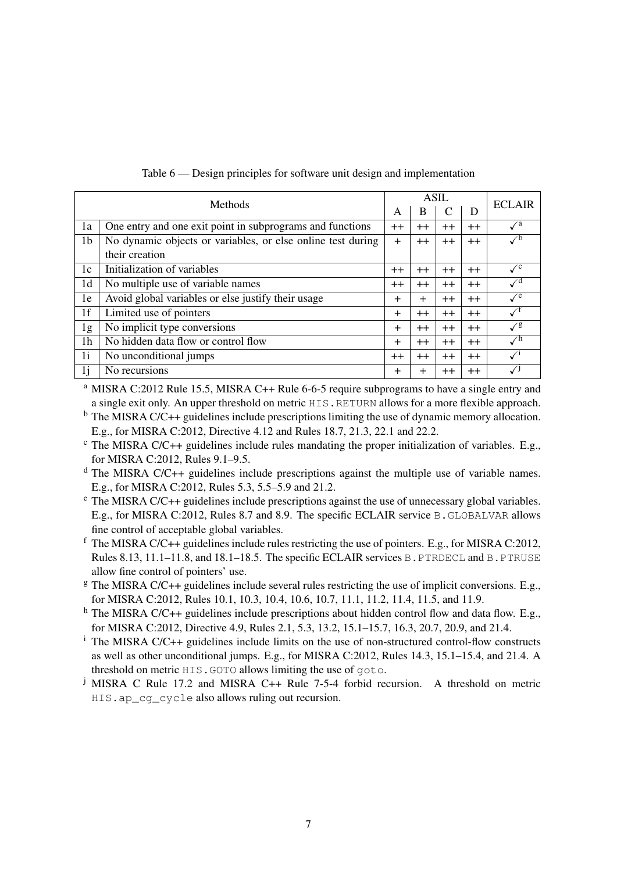| Methods        |                                                             |         | <b>ASIL</b> |         |         |                             |
|----------------|-------------------------------------------------------------|---------|-------------|---------|---------|-----------------------------|
|                |                                                             |         | B           | C       | D       | <b>ECLAIR</b>               |
| 1a             | One entry and one exit point in subprograms and functions   | $^{++}$ | $^{++}$     | $^{++}$ | $^{++}$ | $\mathcal{N}^{\rm a}$       |
| 1 <sub>b</sub> | No dynamic objects or variables, or else online test during | $^{+}$  | $^{++}$     | $^{++}$ | $^{++}$ |                             |
|                | their creation                                              |         |             |         |         |                             |
| 1c             | Initialization of variables                                 | $^{++}$ | $^{++}$     | $^{++}$ | $^{++}$ | $\mathcal{N}^{\mathcal{C}}$ |
| 1 <sub>d</sub> | No multiple use of variable names                           | $^{++}$ | $^{++}$     | $^{++}$ | $^{++}$ | $\mathcal{N}^{\text{d}}$    |
| 1e             | Avoid global variables or else justify their usage          | $\pm$   | $\ddot{}$   | $^{++}$ | $^{++}$ | $\mathcal{V}^e$             |
| 1f             | Limited use of pointers                                     | $\pm$   | $^{++}$     | $^{++}$ | $^{++}$ |                             |
| 1g             | No implicit type conversions                                | $^{+}$  | $++$        | $^{++}$ | $^{++}$ | $\sqrt{g}$                  |
| 1 <sub>h</sub> | No hidden data flow or control flow                         | $\pm$   | $++$        | $^{++}$ | $++$    | $\mathcal{N}^{\text{h}}$    |
| 1i             | No unconditional jumps                                      | $^{++}$ | $^{++}$     | $^{++}$ | $^{++}$ |                             |
| 1j             | No recursions                                               | $^{+}$  | $^{+}$      | $^{++}$ | $^{++}$ |                             |

#### Table 6 — Design principles for software unit design and implementation

<sup>a</sup> MISRA C:2012 Rule 15.5, MISRA C++ Rule 6-6-5 require subprograms to have a single entry and a single exit only. An upper threshold on metric HIS.RETURN allows for a more flexible approach.

 $<sup>b</sup>$  The MISRA C/C++ guidelines include prescriptions limiting the use of dynamic memory allocation.</sup> E.g., for MISRA C:2012, Directive 4.12 and Rules 18.7, 21.3, 22.1 and 22.2.

 $c$  The MISRA C/C++ guidelines include rules mandating the proper initialization of variables. E.g., for MISRA C:2012, Rules 9.1–9.5.

 $d$  The MISRA C/C++ guidelines include prescriptions against the multiple use of variable names. E.g., for MISRA C:2012, Rules 5.3, 5.5–5.9 and 21.2.

<sup>e</sup> The MISRA C/C++ guidelines include prescriptions against the use of unnecessary global variables. E.g., for MISRA C:2012, Rules 8.7 and 8.9. The specific ECLAIR service B.GLOBALVAR allows fine control of acceptable global variables.

 $f$  The MISRA C/C++ guidelines include rules restricting the use of pointers. E.g., for MISRA C:2012, Rules 8.13, 11.1–11.8, and 18.1–18.5. The specific ECLAIR services B. PTRDECL and B. PTRUSE allow fine control of pointers' use.

 $\frac{g}{g}$  The MISRA C/C++ guidelines include several rules restricting the use of implicit conversions. E.g., for MISRA C:2012, Rules 10.1, 10.3, 10.4, 10.6, 10.7, 11.1, 11.2, 11.4, 11.5, and 11.9.

h The MISRA C/C++ guidelines include prescriptions about hidden control flow and data flow. E.g., for MISRA C:2012, Directive 4.9, Rules 2.1, 5.3, 13.2, 15.1–15.7, 16.3, 20.7, 20.9, and 21.4.

<sup>i</sup> The MISRA C/C++ guidelines include limits on the use of non-structured control-flow constructs as well as other unconditional jumps. E.g., for MISRA C:2012, Rules 14.3, 15.1–15.4, and 21.4. A threshold on metric HIS.GOTO allows limiting the use of goto.

<sup>j</sup> MISRA C Rule 17.2 and MISRA C++ Rule 7-5-4 forbid recursion. A threshold on metric HIS.ap cg cycle also allows ruling out recursion.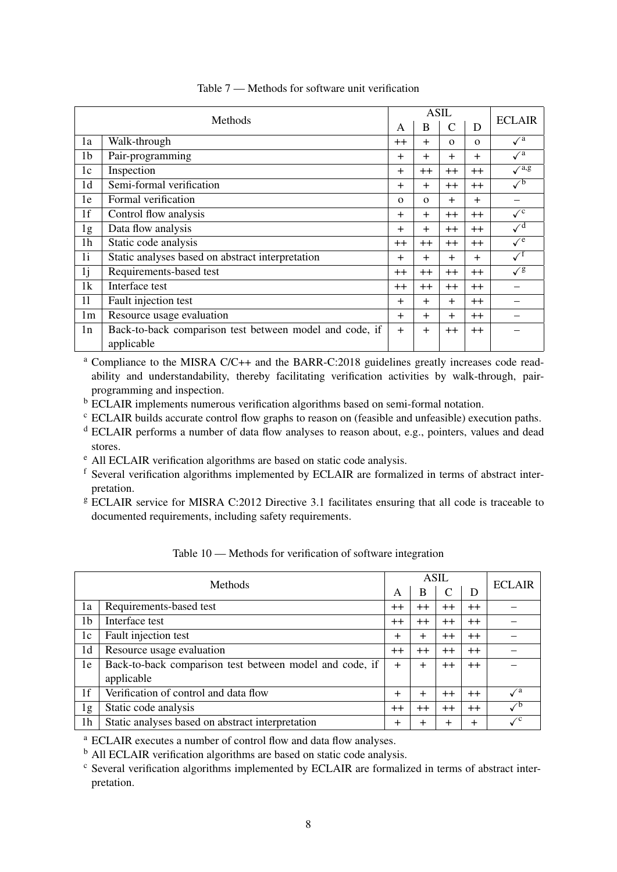| Methods        |                                                         |           | <b>ASIL</b> | <b>ECLAIR</b>  |          |                |
|----------------|---------------------------------------------------------|-----------|-------------|----------------|----------|----------------|
|                |                                                         |           | B           | $\overline{C}$ | D        |                |
| 1a             | Walk-through                                            | $^{++}$   | $^{+}$      | $\Omega$       | $\Omega$ | $\sqrt{a}$     |
| 1 <sub>b</sub> | Pair-programming                                        | $^{+}$    | $\ddot{}$   | $^{+}$         | $+$      | $\sqrt{a}$     |
| 1 <sub>c</sub> | Inspection                                              | $^{+}$    | $++$        | $^{++}$        | $++$     | $\sqrt{a}$ .g  |
| 1 <sub>d</sub> | Semi-formal verification                                | $\ddot{}$ | $\ddot{}$   | $++$           | $++$     | $\sqrt{b}$     |
| 1e             | Formal verification                                     | $\Omega$  | $\Omega$    | $+$            | $+$      |                |
| 1 <sub>f</sub> | Control flow analysis                                   | $^{+}$    | $+$         | $++$           | $++$     | $\checkmark^c$ |
| 1g             | Data flow analysis                                      | $\ddot{}$ | $\ddot{}$   | $++$           | $++$     | $\sqrt{d}$     |
| 1 <sub>h</sub> | Static code analysis                                    | $^{++}$   | $++$        | $^{++}$        | $++$     | $\sqrt{e}$     |
| 1i             | Static analyses based on abstract interpretation        | $\ddot{}$ | $+$         | $+$            | $+$      | $\sqrt{}$      |
| 1 <sub>j</sub> | Requirements-based test                                 | $^{++}$   | $++$        | $++$           | $++$     | $\sqrt{g}$     |
| 1k             | Interface test                                          | $^{++}$   | $++$        | $++$           | $++$     |                |
| 11             | Fault injection test                                    | $^{+}$    | $\ddot{}$   | $+$            | $++$     |                |
| 1 <sub>m</sub> | Resource usage evaluation                               | $\ddot{}$ | $+$         | $^{+}$         | $++$     |                |
| 1n             | Back-to-back comparison test between model and code, if | $+$       | $+$         | $++$           | $++$     |                |
|                | applicable                                              |           |             |                |          |                |

Table 7 — Methods for software unit verification

<sup>a</sup> Compliance to the MISRA C/C++ and the BARR-C:2018 guidelines greatly increases code readability and understandability, thereby facilitating verification activities by walk-through, pairprogramming and inspection.

b ECLAIR implements numerous verification algorithms based on semi-formal notation.

 $\degree$  ECLAIR builds accurate control flow graphs to reason on (feasible and unfeasible) execution paths.

<sup>d</sup> ECLAIR performs a number of data flow analyses to reason about, e.g., pointers, values and dead stores.

<sup>e</sup> All ECLAIR verification algorithms are based on static code analysis.

<sup>f</sup> Several verification algorithms implemented by ECLAIR are formalized in terms of abstract interpretation.

<sup>g</sup> ECLAIR service for MISRA C:2012 Directive 3.1 facilitates ensuring that all code is traceable to documented requirements, including safety requirements.

| Methods        |                                                         |                | <b>ASIL</b> | <b>ECLAIR</b> |         |                           |
|----------------|---------------------------------------------------------|----------------|-------------|---------------|---------|---------------------------|
|                |                                                         |                | B           | C             | D       |                           |
| 1a             | Requirements-based test                                 | $^{++}$        | $^{++}$     | $^{++}$       | $^{++}$ |                           |
| 1b             | Interface test                                          | $^{++}$        | $++$        | $++$          | $++$    |                           |
| 1c             | Fault injection test                                    | $\pm$          | $\pm$       | $^{++}$       | $^{++}$ |                           |
| 1 <sub>d</sub> | Resource usage evaluation                               | $^{++}$        | $^{++}$     | $++$          | $++$    |                           |
| 1e             | Back-to-back comparison test between model and code, if | $\ddot{}$      | $^{+}$      | $++$          | $^{++}$ |                           |
|                | applicable                                              |                |             |               |         |                           |
| 1f             | Verification of control and data flow                   | $\overline{+}$ | $\div$      | $^{++}$       | $^{++}$ | $\mathcal{N}^{\rm a}$     |
| 1g             | Static code analysis                                    | $^{++}$        | $^{++}$     | $++$          | $^{++}$ | $\checkmark$ <sup>b</sup> |
| 1 <sub>h</sub> | Static analyses based on abstract interpretation        | $\pm$          | $\div$      | $\pm$         | $^{+}$  | $\checkmark^{\mathrm{c}}$ |

Table 10 — Methods for verification of software integration

<sup>a</sup> ECLAIR executes a number of control flow and data flow analyses.

 $<sup>b</sup>$  All ECLAIR verification algorithms are based on static code analysis.</sup>

<sup>c</sup> Several verification algorithms implemented by ECLAIR are formalized in terms of abstract interpretation.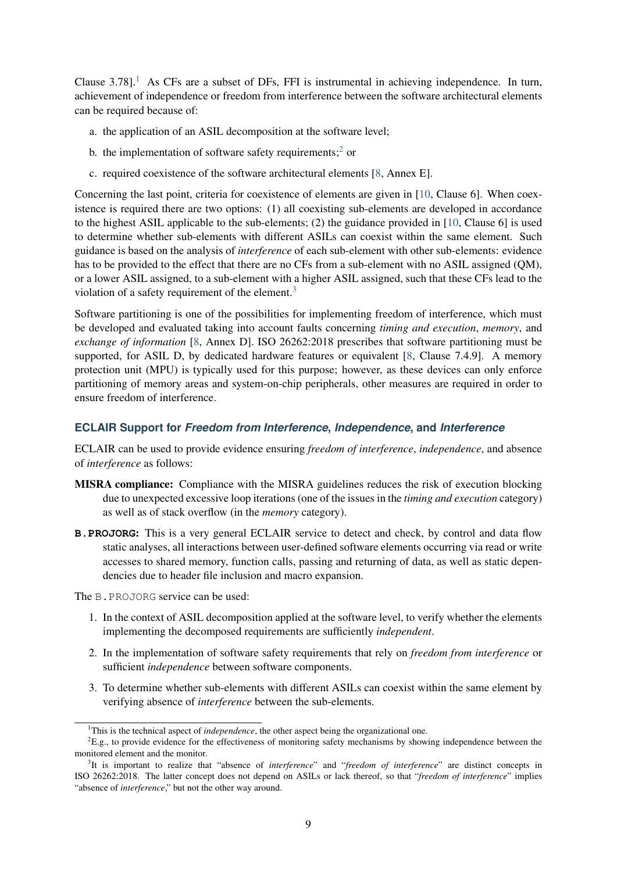Clause  $3.78$ ].<sup>[1](#page-8-0)</sup> As CFs are a subset of DFs, FFI is instrumental in achieving independence. In turn, achievement of independence or freedom from interference between the software architectural elements can be required because of:

- a. the application of an ASIL decomposition at the software level;
- b. the implementation of software safety requirements;<sup>[2](#page-8-1)</sup> or
- c. required coexistence of the software architectural elements [\[8,](#page-11-1) Annex E].

Concerning the last point, criteria for coexistence of elements are given in [\[10,](#page-11-2) Clause 6]. When coexistence is required there are two options: (1) all coexisting sub-elements are developed in accordance to the highest ASIL applicable to the sub-elements; (2) the guidance provided in [\[10,](#page-11-2) Clause 6] is used to determine whether sub-elements with different ASILs can coexist within the same element. Such guidance is based on the analysis of *interference* of each sub-element with other sub-elements: evidence has to be provided to the effect that there are no CFs from a sub-element with no ASIL assigned (QM), or a lower ASIL assigned, to a sub-element with a higher ASIL assigned, such that these CFs lead to the violation of a safety requirement of the element. $3$ 

Software partitioning is one of the possibilities for implementing freedom of interference, which must be developed and evaluated taking into account faults concerning *timing and execution*, *memory*, and *exchange of information* [\[8,](#page-11-1) Annex D]. ISO 26262:2018 prescribes that software partitioning must be supported, for ASIL D, by dedicated hardware features or equivalent [\[8,](#page-11-1) Clause 7.4.9]. A memory protection unit (MPU) is typically used for this purpose; however, as these devices can only enforce partitioning of memory areas and system-on-chip peripherals, other measures are required in order to ensure freedom of interference.

#### **ECLAIR Support for** *Freedom from Interference***,** *Independence***, and** *Interference*

ECLAIR can be used to provide evidence ensuring *freedom of interference*, *independence*, and absence of *interference* as follows:

- MISRA compliance: Compliance with the MISRA guidelines reduces the risk of execution blocking due to unexpected excessive loop iterations (one of the issues in the *timing and execution* category) as well as of stack overflow (in the *memory* category).
- **B.PROJORG**: This is a very general ECLAIR service to detect and check, by control and data flow static analyses, all interactions between user-defined software elements occurring via read or write accesses to shared memory, function calls, passing and returning of data, as well as static dependencies due to header file inclusion and macro expansion.

The B.PROJORG service can be used:

- 1. In the context of ASIL decomposition applied at the software level, to verify whether the elements implementing the decomposed requirements are sufficiently *independent*.
- 2. In the implementation of software safety requirements that rely on *freedom from interference* or sufficient *independence* between software components.
- 3. To determine whether sub-elements with different ASILs can coexist within the same element by verifying absence of *interference* between the sub-elements.

<span id="page-8-1"></span><span id="page-8-0"></span><sup>&</sup>lt;sup>1</sup>This is the technical aspect of *independence*, the other aspect being the organizational one.

 ${}^{2}E.g.,$  to provide evidence for the effectiveness of monitoring safety mechanisms by showing independence between the monitored element and the monitor.

<span id="page-8-2"></span><sup>3</sup> It is important to realize that "absence of *interference*" and "*freedom of interference*" are distinct concepts in ISO 26262:2018. The latter concept does not depend on ASILs or lack thereof, so that "*freedom of interference*" implies "absence of *interference*," but not the other way around.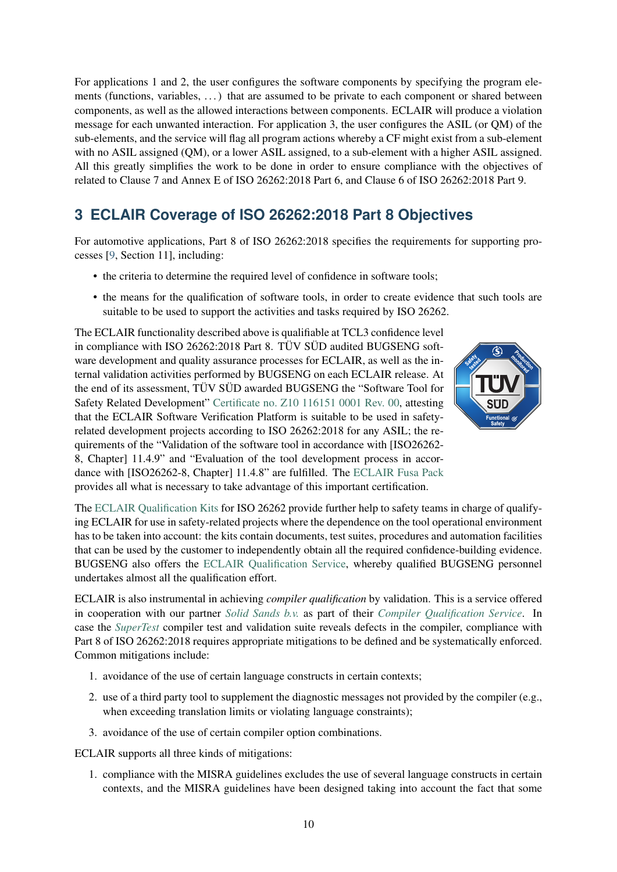For applications 1 and 2, the user configures the software components by specifying the program elements (functions, variables, ...) that are assumed to be private to each component or shared between components, as well as the allowed interactions between components. ECLAIR will produce a violation message for each unwanted interaction. For application 3, the user configures the ASIL (or QM) of the sub-elements, and the service will flag all program actions whereby a CF might exist from a sub-element with no ASIL assigned (QM), or a lower ASIL assigned, to a sub-element with a higher ASIL assigned. All this greatly simplifies the work to be done in order to ensure compliance with the objectives of related to Clause 7 and Annex E of ISO 26262:2018 Part 6, and Clause 6 of ISO 26262:2018 Part 9.

# **3 ECLAIR Coverage of ISO 26262:2018 Part 8 Objectives**

For automotive applications, Part 8 of ISO 26262:2018 specifies the requirements for supporting processes [\[9,](#page-11-3) Section 11], including:

- the criteria to determine the required level of confidence in software tools;
- the means for the qualification of software tools, in order to create evidence that such tools are suitable to be used to support the activities and tasks required by ISO 26262.

The ECLAIR functionality described above is qualifiable at TCL3 confidence level in compliance with ISO 26262:2018 Part 8. TÜV SÜD audited BUGSENG software development and quality assurance processes for ECLAIR, as well as the internal validation activities performed by BUGSENG on each ECLAIR release. At the end of its assessment, TÜV SÜD awarded BUGSENG the "Software Tool for Safety Related Development" [Certificate no. Z10 116151 0001 Rev. 00,](https://bugseng.com/sites/default/files/resources/ECLAIR_TUV-SUD_Certificate.pdf) attesting that the ECLAIR Software Verification Platform is suitable to be used in safetyrelated development projects according to ISO 26262:2018 for any ASIL; the requirements of the "Validation of the software tool in accordance with [ISO26262- 8, Chapter] 11.4.9" and "Evaluation of the tool development process in accordance with [ISO26262-8, Chapter] 11.4.8" are fulfilled. The [ECLAIR Fusa Pack](https://bugseng.com/sites/default/files/resources/ECLAIR_FuSa_Pack.pdf) provides all what is necessary to take advantage of this important certification.



The [ECLAIR Qualification Kits](https://bugseng.com/sites/default/files/resources/ECLAIR_Qualification_Kits.pdf) for ISO 26262 provide further help to safety teams in charge of qualifying ECLAIR for use in safety-related projects where the dependence on the tool operational environment has to be taken into account: the kits contain documents, test suites, procedures and automation facilities that can be used by the customer to independently obtain all the required confidence-building evidence. BUGSENG also offers the [ECLAIR Qualification Service,](https://bugseng.com/sites/default/files/resources/ECLAIR_Qualification_Service.pdf) whereby qualified BUGSENG personnel undertakes almost all the qualification effort.

ECLAIR is also instrumental in achieving *compiler qualification* by validation. This is a service offered in cooperation with our partner *[Solid Sands b.v.](https://solidsands.nl)* as part of their *[Compiler Qualification Service](https://solidsands.nl/supertest/compiler-qualification-service)*. In case the *[SuperTest](https://solidsands.nl/supertest)* compiler test and validation suite reveals defects in the compiler, compliance with Part 8 of ISO 26262:2018 requires appropriate mitigations to be defined and be systematically enforced. Common mitigations include:

- 1. avoidance of the use of certain language constructs in certain contexts;
- 2. use of a third party tool to supplement the diagnostic messages not provided by the compiler (e.g., when exceeding translation limits or violating language constraints);
- 3. avoidance of the use of certain compiler option combinations.

ECLAIR supports all three kinds of mitigations:

1. compliance with the MISRA guidelines excludes the use of several language constructs in certain contexts, and the MISRA guidelines have been designed taking into account the fact that some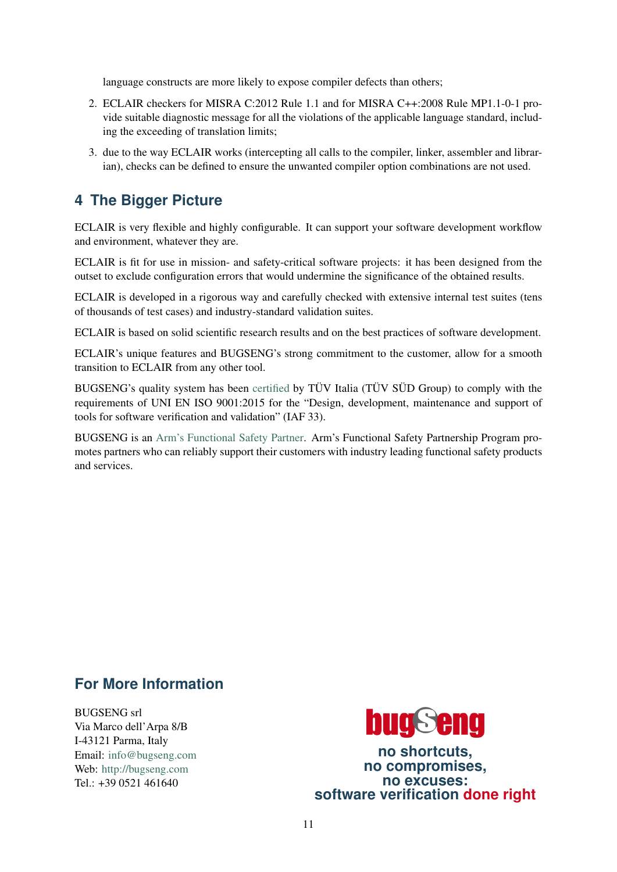language constructs are more likely to expose compiler defects than others;

- 2. ECLAIR checkers for MISRA C:2012 Rule 1.1 and for MISRA C++:2008 Rule MP1.1-0-1 provide suitable diagnostic message for all the violations of the applicable language standard, including the exceeding of translation limits;
- 3. due to the way ECLAIR works (intercepting all calls to the compiler, linker, assembler and librarian), checks can be defined to ensure the unwanted compiler option combinations are not used.

# **4 The Bigger Picture**

ECLAIR is very flexible and highly configurable. It can support your software development workflow and environment, whatever they are.

ECLAIR is fit for use in mission- and safety-critical software projects: it has been designed from the outset to exclude configuration errors that would undermine the significance of the obtained results.

ECLAIR is developed in a rigorous way and carefully checked with extensive internal test suites (tens of thousands of test cases) and industry-standard validation suites.

ECLAIR is based on solid scientific research results and on the best practices of software development.

ECLAIR's unique features and BUGSENG's strong commitment to the customer, allow for a smooth transition to ECLAIR from any other tool.

BUGSENG's quality system has been [certified](https://www.bugseng.com/sites/default/files/resources/BUGSENG_ISO9001_Certificate.pdf) by TÜV Italia (TÜV SÜD Group) to comply with the requirements of UNI EN ISO 9001:2015 for the "Design, development, maintenance and support of tools for software verification and validation" (IAF 33).

BUGSENG is an [Arm's Functional Safety Partner.](https://developer.arm.com/solutions/functional-safety-partnership-program/bugseng) Arm's Functional Safety Partnership Program promotes partners who can reliably support their customers with industry leading functional safety products and services.

## **For More Information**

BUGSENG srl Via Marco dell'Arpa 8/B I-43121 Parma, Italy Email: [info@bugseng.com](mailto:info@bugseng.com) Web: <http://bugseng.com> Tel.:  $+39.0521.461640$ 



**no shortcuts, no compromises, no excuses: software verification done right**